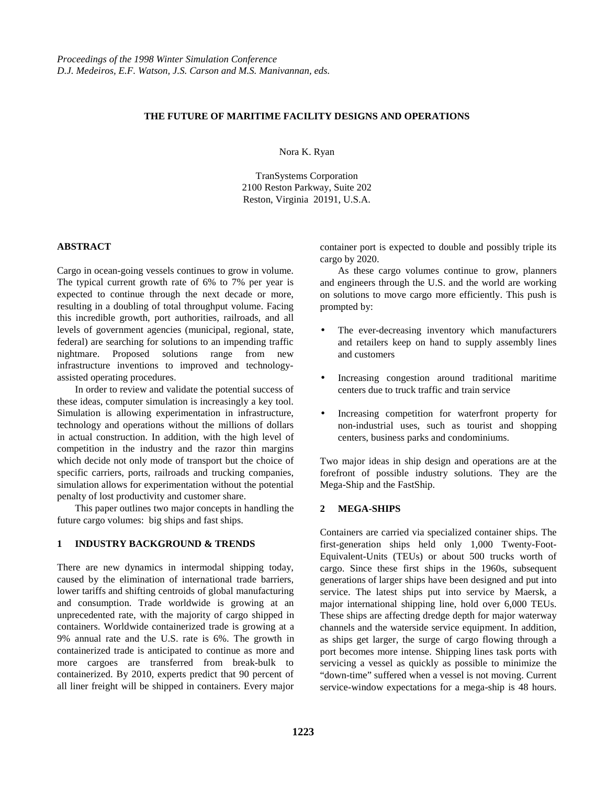## **THE FUTURE OF MARITIME FACILITY DESIGNS AND OPERATIONS**

Nora K. Ryan

TranSystems Corporation 2100 Reston Parkway, Suite 202 Reston, Virginia 20191, U.S.A.

## **ABSTRACT**

Cargo in ocean-going vessels continues to grow in volume. The typical current growth rate of 6% to 7% per year is expected to continue through the next decade or more, resulting in a doubling of total throughput volume. Facing this incredible growth, port authorities, railroads, and all levels of government agencies (municipal, regional, state, federal) are searching for solutions to an impending traffic nightmare. Proposed solutions range from new infrastructure inventions to improved and technologyassisted operating procedures.

In order to review and validate the potential success of these ideas, computer simulation is increasingly a key tool. Simulation is allowing experimentation in infrastructure, technology and operations without the millions of dollars in actual construction. In addition, with the high level of competition in the industry and the razor thin margins which decide not only mode of transport but the choice of specific carriers, ports, railroads and trucking companies, simulation allows for experimentation without the potential penalty of lost productivity and customer share.

This paper outlines two major concepts in handling the future cargo volumes: big ships and fast ships.

## **1 INDUSTRY BACKGROUND & TRENDS**

There are new dynamics in intermodal shipping today, caused by the elimination of international trade barriers, lower tariffs and shifting centroids of global manufacturing and consumption. Trade worldwide is growing at an unprecedented rate, with the majority of cargo shipped in containers. Worldwide containerized trade is growing at a 9% annual rate and the U.S. rate is 6%. The growth in containerized trade is anticipated to continue as more and more cargoes are transferred from break-bulk to containerized. By 2010, experts predict that 90 percent of all liner freight will be shipped in containers. Every major

container port is expected to double and possibly triple its cargo by 2020.

As these cargo volumes continue to grow, planners and engineers through the U.S. and the world are working on solutions to move cargo more efficiently. This push is prompted by:

- The ever-decreasing inventory which manufacturers and retailers keep on hand to supply assembly lines and customers
- Increasing congestion around traditional maritime centers due to truck traffic and train service
- Increasing competition for waterfront property for non-industrial uses, such as tourist and shopping centers, business parks and condominiums.

Two major ideas in ship design and operations are at the forefront of possible industry solutions. They are the Mega-Ship and the FastShip.

# **2 MEGA-SHIPS**

Containers are carried via specialized container ships. The first-generation ships held only 1,000 Twenty-Foot-Equivalent-Units (TEUs) or about 500 trucks worth of cargo. Since these first ships in the 1960s, subsequent generations of larger ships have been designed and put into service. The latest ships put into service by Maersk, a major international shipping line, hold over 6,000 TEUs. These ships are affecting dredge depth for major waterway channels and the waterside service equipment. In addition, as ships get larger, the surge of cargo flowing through a port becomes more intense. Shipping lines task ports with servicing a vessel as quickly as possible to minimize the "down-time" suffered when a vessel is not moving. Current service-window expectations for a mega-ship is 48 hours.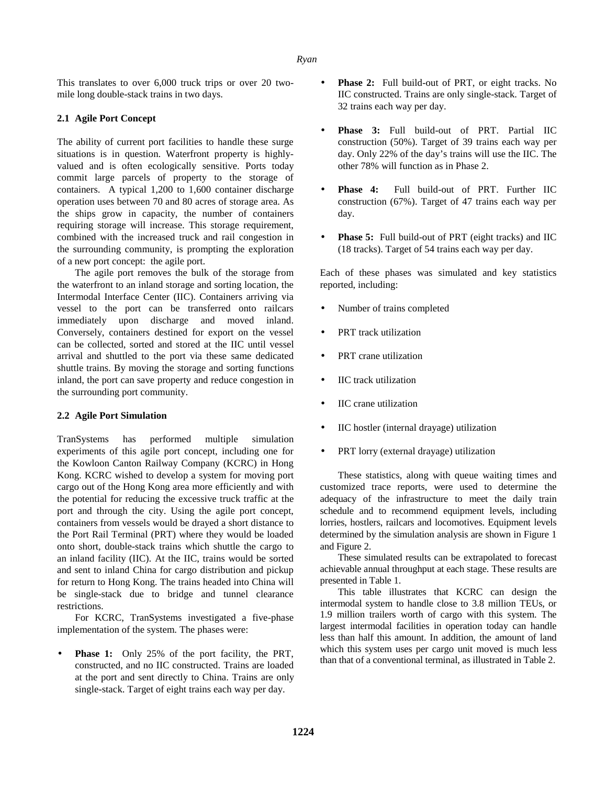This translates to over 6,000 truck trips or over 20 twomile long double-stack trains in two days.

## **2.1 Agile Port Concept**

The ability of current port facilities to handle these surge situations is in question. Waterfront property is highlyvalued and is often ecologically sensitive. Ports today commit large parcels of property to the storage of containers. A typical 1,200 to 1,600 container discharge operation uses between 70 and 80 acres of storage area. As the ships grow in capacity, the number of containers requiring storage will increase. This storage requirement, combined with the increased truck and rail congestion in the surrounding community, is prompting the exploration of a new port concept: the agile port.

The agile port removes the bulk of the storage from the waterfront to an inland storage and sorting location, the Intermodal Interface Center (IIC). Containers arriving via vessel to the port can be transferred onto railcars immediately upon discharge and moved inland. Conversely, containers destined for export on the vessel can be collected, sorted and stored at the IIC until vessel arrival and shuttled to the port via these same dedicated shuttle trains. By moving the storage and sorting functions inland, the port can save property and reduce congestion in the surrounding port community.

## **2.2 Agile Port Simulation**

TranSystems has performed multiple simulation experiments of this agile port concept, including one for the Kowloon Canton Railway Company (KCRC) in Hong Kong. KCRC wished to develop a system for moving port cargo out of the Hong Kong area more efficiently and with the potential for reducing the excessive truck traffic at the port and through the city. Using the agile port concept, containers from vessels would be drayed a short distance to the Port Rail Terminal (PRT) where they would be loaded onto short, double-stack trains which shuttle the cargo to an inland facility (IIC). At the IIC, trains would be sorted and sent to inland China for cargo distribution and pickup for return to Hong Kong. The trains headed into China will be single-stack due to bridge and tunnel clearance restrictions.

For KCRC, TranSystems investigated a five-phase implementation of the system. The phases were:

**Phase 1:** Only 25% of the port facility, the PRT, constructed, and no IIC constructed. Trains are loaded at the port and sent directly to China. Trains are only single-stack. Target of eight trains each way per day.

- Phase 2: Full build-out of PRT, or eight tracks. No IIC constructed. Trains are only single-stack. Target of 32 trains each way per day.
- **Phase 3:** Full build-out of PRT. Partial IIC construction (50%). Target of 39 trains each way per day. Only 22% of the day's trains will use the IIC. The other 78% will function as in Phase 2.
- **Phase 4:** Full build-out of PRT. Further IIC construction (67%). Target of 47 trains each way per day.
- **Phase 5:** Full build-out of PRT (eight tracks) and IIC (18 tracks). Target of 54 trains each way per day.

Each of these phases was simulated and key statistics reported, including:

- Number of trains completed
- **PRT** track utilization
- PRT crane utilization
- IIC track utilization
- IIC crane utilization
- IIC hostler (internal drayage) utilization
- PRT lorry (external drayage) utilization

These statistics, along with queue waiting times and customized trace reports, were used to determine the adequacy of the infrastructure to meet the daily train schedule and to recommend equipment levels, including lorries, hostlers, railcars and locomotives. Equipment levels determined by the simulation analysis are shown in Figure 1 and Figure 2.

These simulated results can be extrapolated to forecast achievable annual throughput at each stage. These results are presented in Table 1.

This table illustrates that KCRC can design the intermodal system to handle close to 3.8 million TEUs, or 1.9 million trailers worth of cargo with this system. The largest intermodal facilities in operation today can handle less than half this amount. In addition, the amount of land which this system uses per cargo unit moved is much less than that of a conventional terminal, as illustrated in Table 2.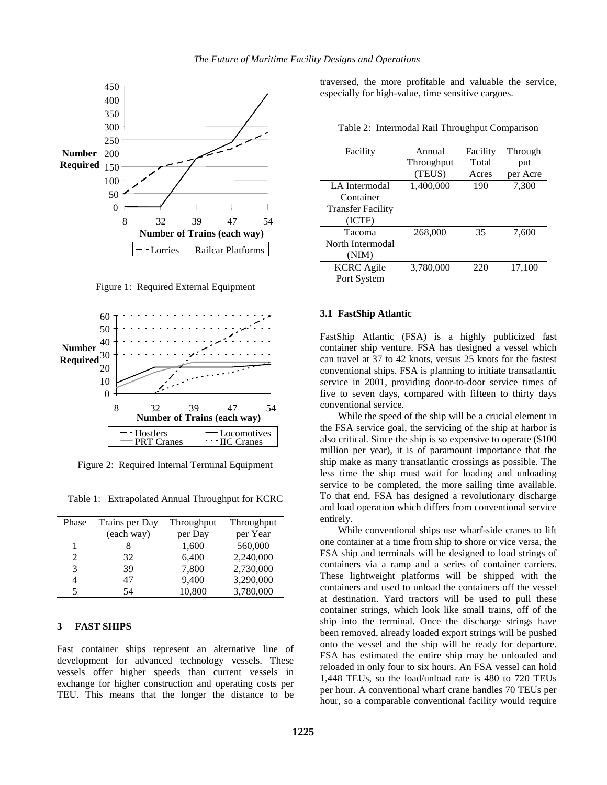

Figure 1: Required External Equipment



Figure 2: Required Internal Terminal Equipment

Table 1: Extrapolated Annual Throughput for KCRC

| Phase | Trains per Day | Throughput | Throughput |
|-------|----------------|------------|------------|
|       | (each way)     | per Day    | per Year   |
|       |                | 1,600      | 560,000    |
| 2     | 32             | 6,400      | 2,240,000  |
| 3     | 39             | 7,800      | 2,730,000  |
| 4     | 47             | 9,400      | 3,290,000  |
| 5     | 54             | 10,800     | 3,780,000  |

#### **3 FAST SHIPS**

Fast container ships represent an alternative line of development for advanced technology vessels. These vessels offer higher speeds than current vessels in exchange for higher construction and operating costs per TEU. This means that the longer the distance to be traversed, the more profitable and valuable the service, especially for high-value, time sensitive cargoes.

Table 2: Intermodal Rail Throughput Comparison

| Facility                 | Annual     | Facility | Through  |
|--------------------------|------------|----------|----------|
|                          | Throughput | Total    | put      |
|                          | (TEUS)     | Acres    | per Acre |
| LA Intermodal            | 1,400,000  | 190      | 7,300    |
| Container                |            |          |          |
| <b>Transfer Facility</b> |            |          |          |
| (ICTF)                   |            |          |          |
| Tacoma                   | 268,000    | 35       | 7,600    |
| North Intermodal         |            |          |          |
| (NIM)                    |            |          |          |
| <b>KCRC</b> Agile        | 3,780,000  | 220      | 17,100   |
| Port System              |            |          |          |

#### **3.1 FastShip Atlantic**

FastShip Atlantic (FSA) is a highly publicized fast container ship venture. FSA has designed a vessel which can travel at 37 to 42 knots, versus 25 knots for the fastest conventional ships. FSA is planning to initiate transatlantic service in 2001, providing door-to-door service times of five to seven days, compared with fifteen to thirty days conventional service.

While the speed of the ship will be a crucial element in the FSA service goal, the servicing of the ship at harbor is also critical. Since the ship is so expensive to operate (\$100 million per year), it is of paramount importance that the ship make as many transatlantic crossings as possible. The less time the ship must wait for loading and unloading service to be completed, the more sailing time available. To that end, FSA has designed a revolutionary discharge and load operation which differs from conventional service entirely.

While conventional ships use wharf-side cranes to lift one container at a time from ship to shore or vice versa, the FSA ship and terminals will be designed to load strings of containers via a ramp and a series of container carriers. These lightweight platforms will be shipped with the containers and used to unload the containers off the vessel at destination. Yard tractors will be used to pull these container strings, which look like small trains, off of the ship into the terminal. Once the discharge strings have been removed, already loaded export strings will be pushed onto the vessel and the ship will be ready for departure. FSA has estimated the entire ship may be unloaded and reloaded in only four to six hours. An FSA vessel can hold 1,448 TEUs, so the load/unload rate is 480 to 720 TEUs per hour. A conventional wharf crane handles 70 TEUs per hour, so a comparable conventional facility would require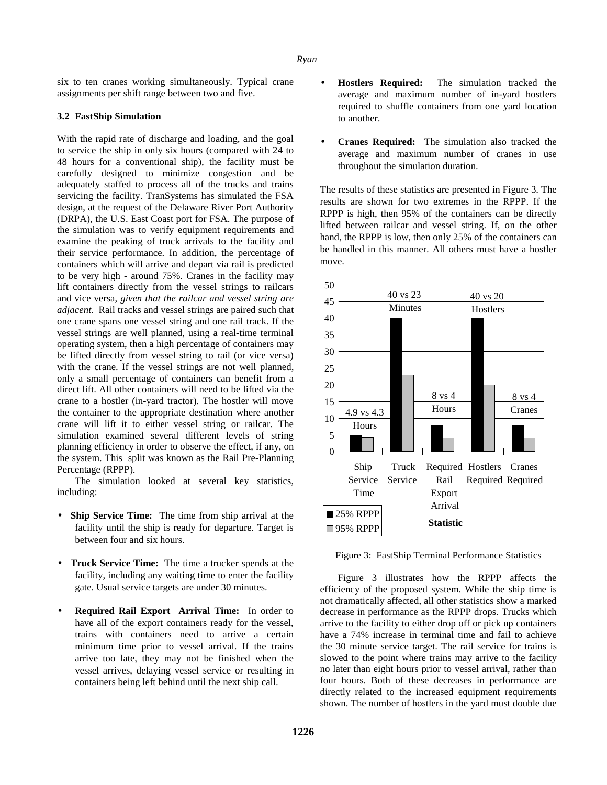six to ten cranes working simultaneously. Typical crane assignments per shift range between two and five.

#### **3.2 FastShip Simulation**

With the rapid rate of discharge and loading, and the goal to service the ship in only six hours (compared with 24 to 48 hours for a conventional ship), the facility must be carefully designed to minimize congestion and be adequately staffed to process all of the trucks and trains servicing the facility. TranSystems has simulated the FSA design, at the request of the Delaware River Port Authority (DRPA), the U.S. East Coast port for FSA. The purpose of the simulation was to verify equipment requirements and examine the peaking of truck arrivals to the facility and their service performance. In addition, the percentage of containers which will arrive and depart via rail is predicted to be very high - around 75%. Cranes in the facility may lift containers directly from the vessel strings to railcars and vice versa, *given that the railcar and vessel string are adjacent*. Rail tracks and vessel strings are paired such that one crane spans one vessel string and one rail track. If the vessel strings are well planned, using a real-time terminal operating system, then a high percentage of containers may be lifted directly from vessel string to rail (or vice versa) with the crane. If the vessel strings are not well planned, only a small percentage of containers can benefit from a direct lift. All other containers will need to be lifted via the crane to a hostler (in-yard tractor). The hostler will move the container to the appropriate destination where another crane will lift it to either vessel string or railcar. The simulation examined several different levels of string planning efficiency in order to observe the effect, if any, on the system. This split was known as the Rail Pre-Planning Percentage (RPPP).

The simulation looked at several key statistics, including:

- **Ship Service Time:** The time from ship arrival at the facility until the ship is ready for departure. Target is between four and six hours.
- **Truck Service Time:** The time a trucker spends at the facility, including any waiting time to enter the facility gate. Usual service targets are under 30 minutes.
- **Required Rail Export Arrival Time:** In order to have all of the export containers ready for the vessel, trains with containers need to arrive a certain minimum time prior to vessel arrival. If the trains arrive too late, they may not be finished when the vessel arrives, delaying vessel service or resulting in containers being left behind until the next ship call.
- **Hostlers Required:** The simulation tracked the average and maximum number of in-yard hostlers required to shuffle containers from one yard location to another.
- **Cranes Required:** The simulation also tracked the average and maximum number of cranes in use throughout the simulation duration.

The results of these statistics are presented in Figure 3. The results are shown for two extremes in the RPPP. If the RPPP is high, then 95% of the containers can be directly lifted between railcar and vessel string. If, on the other hand, the RPPP is low, then only 25% of the containers can be handled in this manner. All others must have a hostler move.



Figure 3: FastShip Terminal Performance Statistics

Figure 3 illustrates how the RPPP affects the efficiency of the proposed system. While the ship time is not dramatically affected, all other statistics show a marked decrease in performance as the RPPP drops. Trucks which arrive to the facility to either drop off or pick up containers have a 74% increase in terminal time and fail to achieve the 30 minute service target. The rail service for trains is slowed to the point where trains may arrive to the facility no later than eight hours prior to vessel arrival, rather than four hours. Both of these decreases in performance are directly related to the increased equipment requirements shown. The number of hostlers in the yard must double due